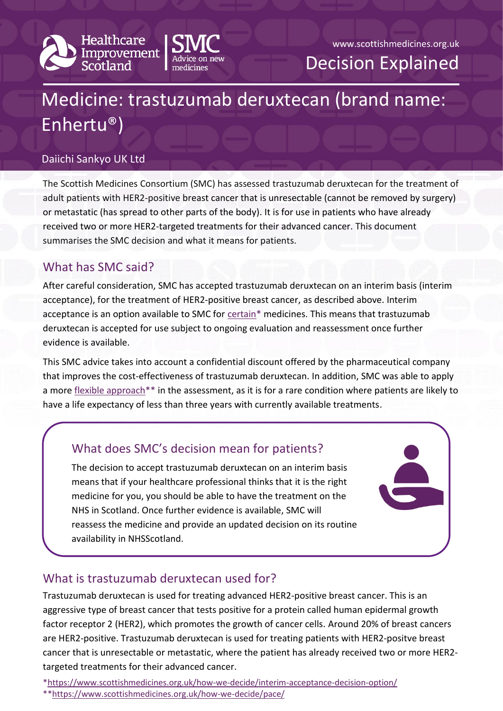



# Medicine: trastuzumab deruxtecan (brand name: Enhertu®)

#### Daiichi Sankyo UK Ltd

The Scottish Medicines Consortium (SMC) has assessed trastuzumab deruxtecan for the treatment of adult patients with HER2-positive breast cancer that is unresectable (cannot be removed by surgery) or metastatic (has spread to other parts of the body). It is for use in patients who have already received two or more HER2-targeted treatments for their advanced cancer. This document summarises the SMC decision and what it means for patients.

## What has SMC said?

After careful consideration, SMC has accepted trastuzumab deruxtecan on an interim basis (interim acceptance), for the treatment of HER2-positive breast cancer, as described above. Interim acceptance is an option available to SMC for [certain\\*](https://www.scottishmedicines.org.uk/how-we-decide/interim-acceptance-decision-option/) medicines. This means that trastuzumab deruxtecan is accepted for use subject to ongoing evaluation and reassessment once further evidence is available.

This SMC advice takes into account a confidential discount offered by the pharmaceutical company that improves the cost-effectiveness of trastuzumab deruxtecan. In addition, SMC was able to apply a more flexible approach<sup>\*\*</sup> in the assessment, as it is for a rare condition where patients are likely to have a life expectancy of less than three years with currently available treatments.

# What does SMC's decision mean for patients?

The decision to accept trastuzumab deruxtecan on an interim basis means that if your healthcare professional thinks that it is the right medicine for you, you should be able to have the treatment on the NHS in Scotland. Once further evidence is available, SMC will reassess the medicine and provide an updated decision on its routine availability in NHSScotland.

# What is trastuzumab deruxtecan used for?

Trastuzumab deruxtecan is used for treating advanced HER2-positive breast cancer. This is an aggressive type of breast cancer that tests positive for a protein called human epidermal growth factor receptor 2 (HER2), which promotes the growth of cancer cells. Around 20% of breast cancers are HER2-positive. Trastuzumab deruxtecan is used for treating patients with HER2-positve breast cancer that is unresectable or metastatic, where the patient has already received two or more HER2 targeted treatments for their advanced cancer.

[\\*https://www.scottishmedicines.org.uk/how-we-decide/interim-acceptance-decision-option/](https://www.scottishmedicines.org.uk/how-we-decide/interim-acceptance-decision-option/)

\*[\\*https://www.scottishmedicines.org.uk/how-we-decide/pace/](https://www.scottishmedicines.org.uk/how-we-decide/pace/)